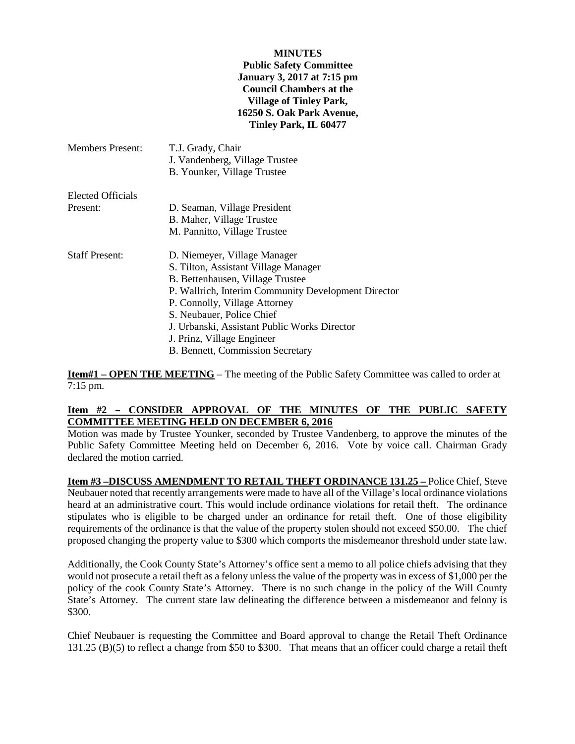#### **MINUTES**

### **Public Safety Committee January 3, 2017 at 7:15 pm Council Chambers at the Village of Tinley Park, 16250 S. Oak Park Avenue, Tinley Park, IL 60477**

| <b>Members Present:</b>  | T.J. Grady, Chair<br>J. Vandenberg, Village Trustee<br>B. Younker, Village Trustee |
|--------------------------|------------------------------------------------------------------------------------|
| <b>Elected Officials</b> |                                                                                    |
| Present:                 | D. Seaman, Village President                                                       |
|                          | B. Maher, Village Trustee                                                          |
|                          | M. Pannitto, Village Trustee                                                       |
| <b>Staff Present:</b>    | D. Niemeyer, Village Manager                                                       |
|                          | S. Tilton, Assistant Village Manager                                               |
|                          | B. Bettenhausen, Village Trustee                                                   |
|                          | P. Wallrich, Interim Community Development Director                                |
|                          | P. Connolly, Village Attorney                                                      |
|                          | S. Neubauer, Police Chief                                                          |
|                          | J. Urbanski, Assistant Public Works Director                                       |
|                          | J. Prinz, Village Engineer                                                         |
|                          | B. Bennett, Commission Secretary                                                   |

**Item#1 – OPEN THE MEETING** – The meeting of the Public Safety Committee was called to order at 7:15 pm.

# Item #2 - CONSIDER APPROVAL OF THE MINUTES OF THE PUBLIC SAFETY **COMMITTEE MEETING HELD ON DECEMBER 6, 2016**

Motion was made by Trustee Younker, seconded by Trustee Vandenberg, to approve the minutes of the Public Safety Committee Meeting held on December 6, 2016. Vote by voice call. Chairman Grady declared the motion carried.

**Item #3 –DISCUSS AMENDMENT TO RETAIL THEFT ORDINANCE 131.25 –** Police Chief, Steve Neubauer noted that recently arrangements were made to have all of the Village's local ordinance violations heard at an administrative court. This would include ordinance violations for retail theft. The ordinance stipulates who is eligible to be charged under an ordinance for retail theft. One of those eligibility requirements of the ordinance is that the value of the property stolen should not exceed \$50.00. The chief proposed changing the property value to \$300 which comports the misdemeanor threshold under state law.

Additionally, the Cook County State's Attorney's office sent a memo to all police chiefs advising that they would not prosecute a retail theft as a felony unless the value of the property was in excess of \$1,000 per the policy of the cook County State's Attorney. There is no such change in the policy of the Will County State's Attorney. The current state law delineating the difference between a misdemeanor and felony is \$300.

Chief Neubauer is requesting the Committee and Board approval to change the Retail Theft Ordinance 131.25 (B)(5) to reflect a change from \$50 to \$300. That means that an officer could charge a retail theft